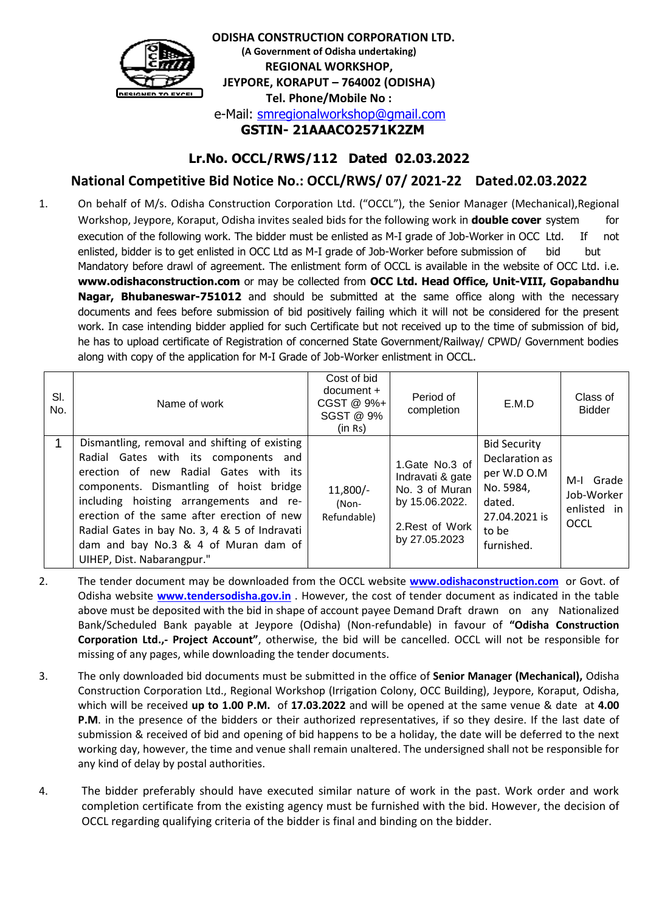

 **ODISHA CONSTRUCTION CORPORATION LTD. (A Government of Odisha undertaking) REGIONAL WORKSHOP, JEYPORE, KORAPUT – 764002 (ODISHA) Tel. Phone/Mobile No :** e-Mail: [smregionalworkshop@gmail.com](mailto:smregionalworkshop@gmail.com)  **GSTIN- 21AAACO2571K2ZM**

# **Lr.No. OCCL/RWS/112 Dated 02.03.2022**

# **National Competitive Bid Notice No.: OCCL/RWS/ 07/ 2021-22 Dated.02.03.2022**

1. On behalf of M/s. Odisha Construction Corporation Ltd. ("OCCL"), the Senior Manager (Mechanical),Regional Workshop, Jeypore, Koraput, Odisha invites sealed bids for the following work in **double cover** system for execution of the following work. The bidder must be enlisted as M-I grade of Job-Worker in OCC Ltd. If not enlisted, bidder is to get enlisted in OCC Ltd as M-I grade of Job-Worker before submission of bid but Mandatory before drawl of agreement. The enlistment form of OCCL is available in the website of OCC Ltd. i.e. **www.odishaconstruction.com** or may be collected from **OCC Ltd. Head Office, Unit-VIII, Gopabandhu Nagar, Bhubaneswar-751012** and should be submitted at the same office along with the necessary documents and fees before submission of bid positively failing which it will not be considered for the present work. In case intending bidder applied for such Certificate but not received up to the time of submission of bid, he has to upload certificate of Registration of concerned State Government/Railway/ CPWD/ Government bodies along with copy of the application for M-I Grade of Job-Worker enlistment in OCCL.

| SI.<br>No. | Name of work                                                                                                                                                                                                                                                                                                                                                                              | Cost of bid<br>$document +$<br>CGST @ 9%+<br>SGST @ 9%<br>(in Rs) | Period of<br>completion                                                                                    | E.M.D                                                                                                               | Class of<br><b>Bidder</b>                                |
|------------|-------------------------------------------------------------------------------------------------------------------------------------------------------------------------------------------------------------------------------------------------------------------------------------------------------------------------------------------------------------------------------------------|-------------------------------------------------------------------|------------------------------------------------------------------------------------------------------------|---------------------------------------------------------------------------------------------------------------------|----------------------------------------------------------|
|            | Dismantling, removal and shifting of existing<br>Radial Gates with its components and<br>erection of new Radial Gates with its<br>components. Dismantling of hoist bridge<br>including hoisting arrangements and re-<br>erection of the same after erection of new<br>Radial Gates in bay No. 3, 4 & 5 of Indravati<br>dam and bay No.3 & 4 of Muran dam of<br>UIHEP, Dist. Nabarangpur." | $11,800/-$<br>(Non-<br>Refundable)                                | 1.Gate No.3 of<br>Indravati & gate<br>No. 3 of Muran<br>by 15.06.2022.<br>2. Rest of Work<br>by 27.05.2023 | <b>Bid Security</b><br>Declaration as<br>per W.D O.M<br>No. 5984,<br>dated.<br>27.04.2021 is<br>to be<br>furnished. | Grade<br>M-I<br>Job-Worker<br>enlisted in<br><b>OCCL</b> |

- 2. The tender document may be downloaded from the OCCL website **[www.odishaconstruction.com](http://www.odishaconstruction.com/)** or Govt. of Odisha website **[www.tendersodisha.gov.in](http://www.tendersodisha.gov.in/)** . However, the cost of tender document as indicated in the table above must be deposited with the bid in shape of account payee Demand Draft drawn on any Nationalized Bank/Scheduled Bank payable at Jeypore (Odisha) (Non-refundable) in favour of **"Odisha Construction Corporation Ltd.,- Project Account"**, otherwise, the bid will be cancelled. OCCL will not be responsible for missing of any pages, while downloading the tender documents.
- 3. The only downloaded bid documents must be submitted in the office of **Senior Manager (Mechanical),** Odisha Construction Corporation Ltd., Regional Workshop (Irrigation Colony, OCC Building), Jeypore, Koraput, Odisha, which will be received **up to 1.00 P.M.** of **17.03.2022** and will be opened at the same venue & date at **4.00 P.M**. in the presence of the bidders or their authorized representatives, if so they desire. If the last date of submission & received of bid and opening of bid happens to be a holiday, the date will be deferred to the next working day, however, the time and venue shall remain unaltered. The undersigned shall not be responsible for any kind of delay by postal authorities.
- 4. The bidder preferably should have executed similar nature of work in the past. Work order and work completion certificate from the existing agency must be furnished with the bid. However, the decision of OCCL regarding qualifying criteria of the bidder is final and binding on the bidder.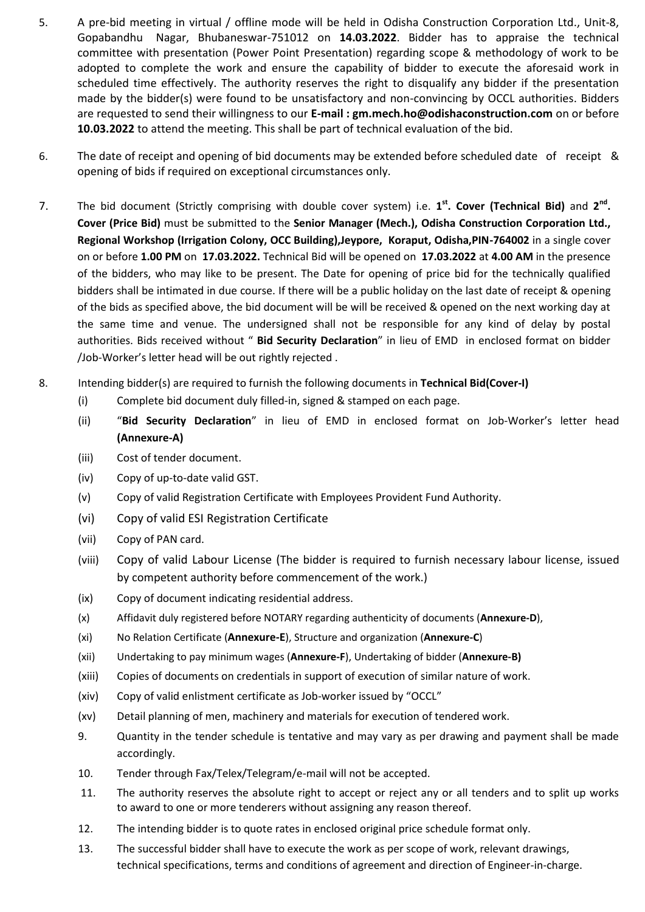- 5. A pre-bid meeting in virtual / offline mode will be held in Odisha Construction Corporation Ltd., Unit-8, Gopabandhu Nagar, Bhubaneswar-751012 on **14.03.2022**. Bidder has to appraise the technical committee with presentation (Power Point Presentation) regarding scope & methodology of work to be adopted to complete the work and ensure the capability of bidder to execute the aforesaid work in scheduled time effectively. The authority reserves the right to disqualify any bidder if the presentation made by the bidder(s) were found to be unsatisfactory and non-convincing by OCCL authorities. Bidders are requested to send their willingness to our **E-mail : gm.mech.ho@odishaconstruction.com** on or before **10.03.2022** to attend the meeting. This shall be part of technical evaluation of the bid.
- 6. The date of receipt and opening of bid documents may be extended before scheduled date of receipt & opening of bids if required on exceptional circumstances only.
- 7. The bid document (Strictly comprising with double cover system) i.e. 1<sup>st</sup>. Cover (Technical Bid) and 2<sup>nd</sup>. **Cover (Price Bid)** must be submitted to the **Senior Manager (Mech.), Odisha Construction Corporation Ltd., Regional Workshop (Irrigation Colony, OCC Building),Jeypore, Koraput, Odisha,PIN-764002** in a single cover on or before **1.00 PM** on **17.03.2022.** Technical Bid will be opened on **17.03.2022** at **4.00 AM** in the presence of the bidders, who may like to be present. The Date for opening of price bid for the technically qualified bidders shall be intimated in due course. If there will be a public holiday on the last date of receipt & opening of the bids as specified above, the bid document will be will be received & opened on the next working day at the same time and venue. The undersigned shall not be responsible for any kind of delay by postal authorities. Bids received without " **Bid Security Declaration**" in lieu of EMD in enclosed format on bidder /Job-Worker's letter head will be out rightly rejected .
- 8. Intending bidder(s) are required to furnish the following documents in **Technical Bid(Cover-I)** 
	- (i) Complete bid document duly filled-in, signed & stamped on each page.
	- (ii) "**Bid Security Declaration**" in lieu of EMD in enclosed format on Job-Worker's letter head **(Annexure-A)**
	- (iii) Cost of tender document.
	- (iv) Copy of up-to-date valid GST.
	- (v) Copy of valid Registration Certificate with Employees Provident Fund Authority.
	- (vi) Copy of valid ESI Registration Certificate
	- (vii) Copy of PAN card.
	- (viii) Copy of valid Labour License (The bidder is required to furnish necessary labour license, issued by competent authority before commencement of the work.)
	- (ix) Copy of document indicating residential address.
	- (x) Affidavit duly registered before NOTARY regarding authenticity of documents (**Annexure-D**),
	- (xi) No Relation Certificate (**Annexure-E**), Structure and organization (**Annexure-C**)
	- (xii) Undertaking to pay minimum wages (**Annexure-F**), Undertaking of bidder (**Annexure-B)**
	- (xiii) Copies of documents on credentials in support of execution of similar nature of work.
	- (xiv) Copy of valid enlistment certificate as Job-worker issued by "OCCL"
	- (xv) Detail planning of men, machinery and materials for execution of tendered work.
	- 9. Quantity in the tender schedule is tentative and may vary as per drawing and payment shall be made accordingly.
	- 10. Tender through Fax/Telex/Telegram/e-mail will not be accepted.
	- 11. The authority reserves the absolute right to accept or reject any or all tenders and to split up works to award to one or more tenderers without assigning any reason thereof.
	- 12. The intending bidder is to quote rates in enclosed original price schedule format only.
	- 13. The successful bidder shall have to execute the work as per scope of work, relevant drawings, technical specifications, terms and conditions of agreement and direction of Engineer-in-charge.